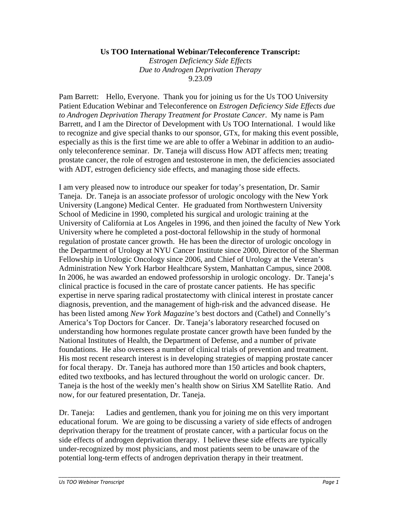## **Us TOO International Webinar/Teleconference Transcript:**

*Estrogen Deficiency Side Effects Due to Androgen Deprivation Therapy*  9.23.09

Pam Barrett: Hello, Everyone. Thank you for joining us for the Us TOO University Patient Education Webinar and Teleconference on *Estrogen Deficiency Side Effects due to Androgen Deprivation Therapy Treatment for Prostate Cancer*. My name is Pam Barrett, and I am the Director of Development with Us TOO International. I would like to recognize and give special thanks to our sponsor, GTx, for making this event possible, especially as this is the first time we are able to offer a Webinar in addition to an audioonly teleconference seminar. Dr. Taneja will discuss How ADT affects men; treating prostate cancer, the role of estrogen and testosterone in men, the deficiencies associated with ADT, estrogen deficiency side effects, and managing those side effects.

I am very pleased now to introduce our speaker for today's presentation, Dr. Samir Taneja. Dr. Taneja is an associate professor of urologic oncology with the New York University (Langone) Medical Center. He graduated from Northwestern University School of Medicine in 1990, completed his surgical and urologic training at the University of California at Los Angeles in 1996, and then joined the faculty of New York University where he completed a post-doctoral fellowship in the study of hormonal regulation of prostate cancer growth. He has been the director of urologic oncology in the Department of Urology at NYU Cancer Institute since 2000, Director of the Sherman Fellowship in Urologic Oncology since 2006, and Chief of Urology at the Veteran's Administration New York Harbor Healthcare System, Manhattan Campus, since 2008. In 2006, he was awarded an endowed professorship in urologic oncology. Dr. Taneja's clinical practice is focused in the care of prostate cancer patients. He has specific expertise in nerve sparing radical prostatectomy with clinical interest in prostate cancer diagnosis, prevention, and the management of high-risk and the advanced disease. He has been listed among *New York Magazine's* best doctors and (Cathel) and Connelly's America's Top Doctors for Cancer. Dr. Taneja's laboratory researched focused on understanding how hormones regulate prostate cancer growth have been funded by the National Institutes of Health, the Department of Defense, and a number of private foundations. He also oversees a number of clinical trials of prevention and treatment. His most recent research interest is in developing strategies of mapping prostate cancer for focal therapy. Dr. Taneja has authored more than 150 articles and book chapters, edited two textbooks, and has lectured throughout the world on urologic cancer. Dr. Taneja is the host of the weekly men's health show on Sirius XM Satellite Ratio. And now, for our featured presentation, Dr. Taneja.

Dr. Taneja: Ladies and gentlemen, thank you for joining me on this very important educational forum. We are going to be discussing a variety of side effects of androgen deprivation therapy for the treatment of prostate cancer, with a particular focus on the side effects of androgen deprivation therapy. I believe these side effects are typically under-recognized by most physicians, and most patients seem to be unaware of the potential long-term effects of androgen deprivation therapy in their treatment.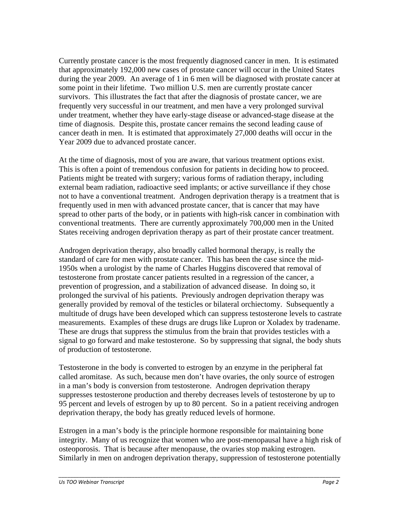Currently prostate cancer is the most frequently diagnosed cancer in men. It is estimated that approximately 192,000 new cases of prostate cancer will occur in the United States during the year 2009. An average of 1 in 6 men will be diagnosed with prostate cancer at some point in their lifetime. Two million U.S. men are currently prostate cancer survivors. This illustrates the fact that after the diagnosis of prostate cancer, we are frequently very successful in our treatment, and men have a very prolonged survival under treatment, whether they have early-stage disease or advanced-stage disease at the time of diagnosis. Despite this, prostate cancer remains the second leading cause of cancer death in men. It is estimated that approximately 27,000 deaths will occur in the Year 2009 due to advanced prostate cancer.

At the time of diagnosis, most of you are aware, that various treatment options exist. This is often a point of tremendous confusion for patients in deciding how to proceed. Patients might be treated with surgery; various forms of radiation therapy, including external beam radiation, radioactive seed implants; or active surveillance if they chose not to have a conventional treatment. Androgen deprivation therapy is a treatment that is frequently used in men with advanced prostate cancer, that is cancer that may have spread to other parts of the body, or in patients with high-risk cancer in combination with conventional treatments. There are currently approximately 700,000 men in the United States receiving androgen deprivation therapy as part of their prostate cancer treatment.

Androgen deprivation therapy, also broadly called hormonal therapy, is really the standard of care for men with prostate cancer. This has been the case since the mid-1950s when a urologist by the name of Charles Huggins discovered that removal of testosterone from prostate cancer patients resulted in a regression of the cancer, a prevention of progression, and a stabilization of advanced disease. In doing so, it prolonged the survival of his patients. Previously androgen deprivation therapy was generally provided by removal of the testicles or bilateral orchiectomy. Subsequently a multitude of drugs have been developed which can suppress testosterone levels to castrate measurements. Examples of these drugs are drugs like Lupron or Xoladex by tradename. These are drugs that suppress the stimulus from the brain that provides testicles with a signal to go forward and make testosterone. So by suppressing that signal, the body shuts of production of testosterone.

Testosterone in the body is converted to estrogen by an enzyme in the peripheral fat called aromitase. As such, because men don't have ovaries, the only source of estrogen in a man's body is conversion from testosterone. Androgen deprivation therapy suppresses testosterone production and thereby decreases levels of testosterone by up to 95 percent and levels of estrogen by up to 80 percent. So in a patient receiving androgen deprivation therapy, the body has greatly reduced levels of hormone.

Estrogen in a man's body is the principle hormone responsible for maintaining bone integrity. Many of us recognize that women who are post-menopausal have a high risk of osteoporosis. That is because after menopause, the ovaries stop making estrogen. Similarly in men on androgen deprivation therapy, suppression of testosterone potentially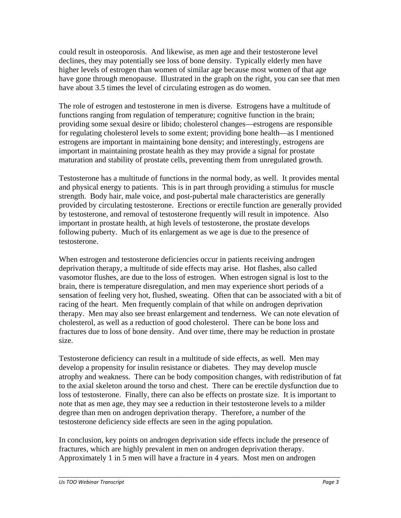could result in osteoporosis. And likewise, as men age and their testosterone level declines, they may potentially see loss of bone density. Typically elderly men have higher levels of estrogen than women of similar age because most women of that age have gone through menopause. Illustrated in the graph on the right, you can see that men have about 3.5 times the level of circulating estrogen as do women.

The role of estrogen and testosterone in men is diverse. Estrogens have a multitude of functions ranging from regulation of temperature; cognitive function in the brain; providing some sexual desire or libido; cholesterol changes—estrogens are responsible for regulating cholesterol levels to some extent; providing bone health—as I mentioned estrogens are important in maintaining bone density; and interestingly, estrogens are important in maintaining prostate health as they may provide a signal for prostate maturation and stability of prostate cells, preventing them from unregulated growth.

Testosterone has a multitude of functions in the normal body, as well. It provides mental and physical energy to patients. This is in part through providing a stimulus for muscle strength. Body hair, male voice, and post-pubertal male characteristics are generally provided by circulating testosterone. Erections or erectile function are generally provided by testosterone, and removal of testosterone frequently will result in impotence. Also important in prostate health, at high levels of testosterone, the prostate develops following puberty. Much of its enlargement as we age is due to the presence of testosterone.

When estrogen and testosterone deficiencies occur in patients receiving androgen deprivation therapy, a multitude of side effects may arise. Hot flashes, also called vasomotor flushes, are due to the loss of estrogen. When estrogen signal is lost to the brain, there is temperature disregulation, and men may experience short periods of a sensation of feeling very hot, flushed, sweating. Often that can be associated with a bit of racing of the heart. Men frequently complain of that while on androgen deprivation therapy. Men may also see breast enlargement and tenderness. We can note elevation of cholesterol, as well as a reduction of good cholesterol. There can be bone loss and fractures due to loss of bone density. And over time, there may be reduction in prostate size.

Testosterone deficiency can result in a multitude of side effects, as well. Men may develop a propensity for insulin resistance or diabetes. They may develop muscle atrophy and weakness. There can be body composition changes, with redistribution of fat to the axial skeleton around the torso and chest. There can be erectile dysfunction due to loss of testosterone. Finally, there can also be effects on prostate size. It is important to note that as men age, they may see a reduction in their testosterone levels to a milder degree than men on androgen deprivation therapy. Therefore, a number of the testosterone deficiency side effects are seen in the aging population.

In conclusion, key points on androgen deprivation side effects include the presence of fractures, which are highly prevalent in men on androgen deprivation therapy. Approximately 1 in 5 men will have a fracture in 4 years. Most men on androgen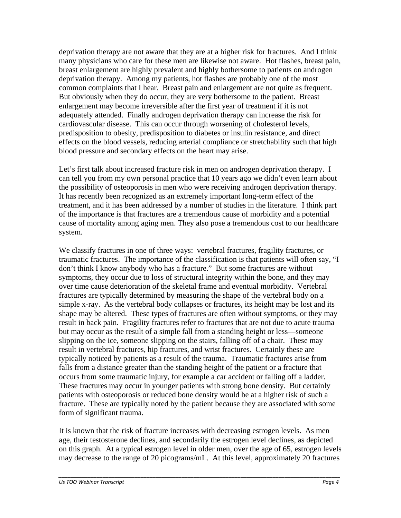deprivation therapy are not aware that they are at a higher risk for fractures. And I think many physicians who care for these men are likewise not aware. Hot flashes, breast pain, breast enlargement are highly prevalent and highly bothersome to patients on androgen deprivation therapy. Among my patients, hot flashes are probably one of the most common complaints that I hear. Breast pain and enlargement are not quite as frequent. But obviously when they do occur, they are very bothersome to the patient. Breast enlargement may become irreversible after the first year of treatment if it is not adequately attended. Finally androgen deprivation therapy can increase the risk for cardiovascular disease. This can occur through worsening of cholesterol levels, predisposition to obesity, predisposition to diabetes or insulin resistance, and direct effects on the blood vessels, reducing arterial compliance or stretchability such that high blood pressure and secondary effects on the heart may arise.

Let's first talk about increased fracture risk in men on androgen deprivation therapy. I can tell you from my own personal practice that 10 years ago we didn't even learn about the possibility of osteoporosis in men who were receiving androgen deprivation therapy. It has recently been recognized as an extremely important long-term effect of the treatment, and it has been addressed by a number of studies in the literature. I think part of the importance is that fractures are a tremendous cause of morbidity and a potential cause of mortality among aging men. They also pose a tremendous cost to our healthcare system.

We classify fractures in one of three ways: vertebral fractures, fragility fractures, or traumatic fractures. The importance of the classification is that patients will often say, "I don't think I know anybody who has a fracture." But some fractures are without symptoms, they occur due to loss of structural integrity within the bone, and they may over time cause deterioration of the skeletal frame and eventual morbidity. Vertebral fractures are typically determined by measuring the shape of the vertebral body on a simple x-ray. As the vertebral body collapses or fractures, its height may be lost and its shape may be altered. These types of fractures are often without symptoms, or they may result in back pain. Fragility fractures refer to fractures that are not due to acute trauma but may occur as the result of a simple fall from a standing height or less—someone slipping on the ice, someone slipping on the stairs, falling off of a chair. These may result in vertebral fractures, hip fractures, and wrist fractures. Certainly these are typically noticed by patients as a result of the trauma. Traumatic fractures arise from falls from a distance greater than the standing height of the patient or a fracture that occurs from some traumatic injury, for example a car accident or falling off a ladder. These fractures may occur in younger patients with strong bone density. But certainly patients with osteoporosis or reduced bone density would be at a higher risk of such a fracture. These are typically noted by the patient because they are associated with some form of significant trauma.

It is known that the risk of fracture increases with decreasing estrogen levels. As men age, their testosterone declines, and secondarily the estrogen level declines, as depicted on this graph. At a typical estrogen level in older men, over the age of 65, estrogen levels may decrease to the range of 20 picograms/mL. At this level, approximately 20 fractures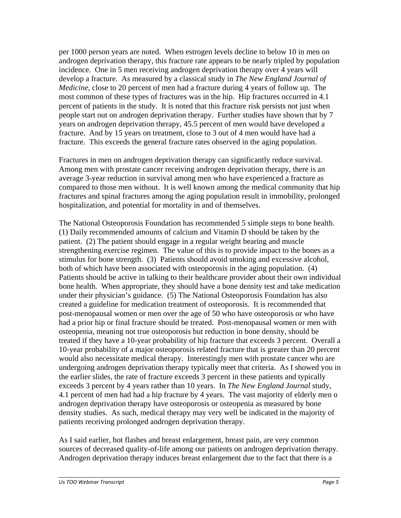per 1000 person years are noted. When estrogen levels decline to below 10 in men on androgen deprivation therapy, this fracture rate appears to be nearly tripled by population incidence. One in 5 men receiving androgen deprivation therapy over 4 years will develop a fracture. As measured by a classical study in *The New England Journal of Medicine,* close to 20 percent of men had a fracture during 4 years of follow up. The most common of these types of fractures was in the hip. Hip fractures occurred in 4.1 percent of patients in the study. It is noted that this fracture risk persists not just when people start out on androgen deprivation therapy. Further studies have shown that by 7 years on androgen deprivation therapy, 45.5 percent of men would have developed a fracture. And by 15 years on treatment, close to 3 out of 4 men would have had a fracture. This exceeds the general fracture rates observed in the aging population.

Fractures in men on androgen deprivation therapy can significantly reduce survival. Among men with prostate cancer receiving androgen deprivation therapy, there is an average 3-year reduction in survival among men who have experienced a fracture as compared to those men without. It is well known among the medical community that hip fractures and spinal fractures among the aging population result in immobility, prolonged hospitalization, and potential for mortality in and of themselves.

The National Osteoporosis Foundation has recommended 5 simple steps to bone health. (1) Daily recommended amounts of calcium and Vitamin D should be taken by the patient. (2) The patient should engage in a regular weight bearing and muscle strengthening exercise regimen. The value of this is to provide impact to the bones as a stimulus for bone strength. (3) Patients should avoid smoking and excessive alcohol, both of which have been associated with osteoporosis in the aging population. (4) Patients should be active in talking to their healthcare provider about their own individual bone health. When appropriate, they should have a bone density test and take medication under their physician's guidance. (5) The National Osteoporosis Foundation has also created a guideline for medication treatment of osteoporosis. It is recommended that post-menopausal women or men over the age of 50 who have osteoporosis or who have had a prior hip or final fracture should be treated. Post-menopausal women or men with osteopenia, meaning not true osteoporosis but reduction in bone density, should be treated if they have a 10-year probability of hip fracture that exceeds 3 percent. Overall a 10-year probability of a major osteoporosis related fracture that is greater than 20 percent would also necessitate medical therapy. Interestingly men with prostate cancer who are undergoing androgen deprivation therapy typically meet that criteria. As I showed you in the earlier slides, the rate of fracture exceeds 3 percent in these patients and typically exceeds 3 percent by 4 years rather than 10 years. In *The New England Journal* study, 4.1 percent of men had had a hip fracture by 4 years. The vast majority of elderly men o androgen deprivation therapy have osteoporosis or osteopenia as measured by bone density studies. As such, medical therapy may very well be indicated in the majority of patients receiving prolonged androgen deprivation therapy.

As I said earlier, hot flashes and breast enlargement, breast pain, are very common sources of decreased quality-of-life among our patients on androgen deprivation therapy. Androgen deprivation therapy induces breast enlargement due to the fact that there is a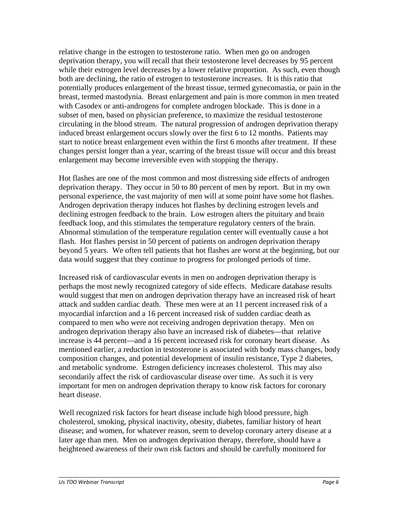relative change in the estrogen to testosterone ratio. When men go on androgen deprivation therapy, you will recall that their testosterone level decreases by 95 percent while their estrogen level decreases by a lower relative proportion. As such, even though both are declining, the ratio of estrogen to testosterone increases. It is this ratio that potentially produces enlargement of the breast tissue, termed gynecomastia, or pain in the breast, termed mastodynia. Breast enlargement and pain is more common in men treated with Casodex or anti-androgens for complete androgen blockade. This is done in a subset of men, based on physician preference, to maximize the residual testosterone circulating in the blood stream. The natural progression of androgen deprivation therapy induced breast enlargement occurs slowly over the first 6 to 12 months. Patients may start to notice breast enlargement even within the first 6 months after treatment. If these changes persist longer than a year, scarring of the breast tissue will occur and this breast enlargement may become irreversible even with stopping the therapy.

Hot flashes are one of the most common and most distressing side effects of androgen deprivation therapy. They occur in 50 to 80 percent of men by report. But in my own personal experience, the vast majority of men will at some point have some hot flashes. Androgen deprivation therapy induces hot flashes by declining estrogen levels and declining estrogen feedback to the brain. Low estrogen alters the pituitary and brain feedback loop, and this stimulates the temperature regulatory centers of the brain. Abnormal stimulation of the temperature regulation center will eventually cause a hot flash. Hot flashes persist in 50 percent of patients on androgen deprivation therapy beyond 5 years. We often tell patients that hot flashes are worst at the beginning, but our data would suggest that they continue to progress for prolonged periods of time.

Increased risk of cardiovascular events in men on androgen deprivation therapy is perhaps the most newly recognized category of side effects. Medicare database results would suggest that men on androgen deprivation therapy have an increased risk of heart attack and sudden cardiac death. These men were at an 11 percent increased risk of a myocardial infarction and a 16 percent increased risk of sudden cardiac death as compared to men who were not receiving androgen deprivation therapy. Men on androgen deprivation therapy also have an increased risk of diabetes—that relative increase is 44 percent—and a 16 percent increased risk for coronary heart disease. As mentioned earlier, a reduction in testosterone is associated with body mass changes, body composition changes, and potential development of insulin resistance, Type 2 diabetes, and metabolic syndrome. Estrogen deficiency increases cholesterol. This may also secondarily affect the risk of cardiovascular disease over time. As such it is very important for men on androgen deprivation therapy to know risk factors for coronary heart disease.

Well recognized risk factors for heart disease include high blood pressure, high cholesterol, smoking, physical inactivity, obesity, diabetes, familiar history of heart disease; and women, for whatever reason, seem to develop coronary artery disease at a later age than men. Men on androgen deprivation therapy, therefore, should have a heightened awareness of their own risk factors and should be carefully monitored for

*\_\_\_\_\_\_\_\_\_\_\_\_\_\_\_\_\_\_\_\_\_\_\_\_\_\_\_\_\_\_\_\_\_\_\_\_\_\_\_\_\_\_\_\_\_\_\_\_\_\_\_\_\_\_\_\_\_\_\_\_\_\_\_\_\_\_\_\_\_\_\_\_\_\_\_\_\_\_\_\_\_\_\_\_\_\_\_\_\_\_\_\_\_\_\_\_*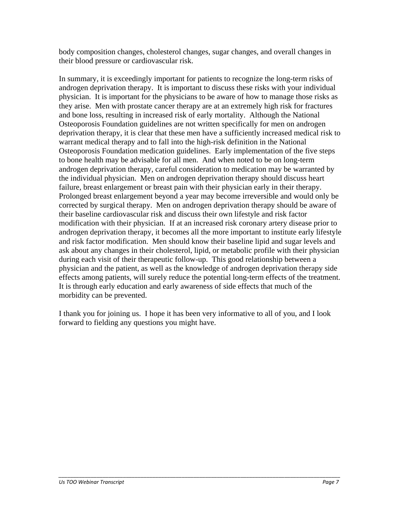body composition changes, cholesterol changes, sugar changes, and overall changes in their blood pressure or cardiovascular risk.

In summary, it is exceedingly important for patients to recognize the long-term risks of androgen deprivation therapy. It is important to discuss these risks with your individual physician. It is important for the physicians to be aware of how to manage those risks as they arise. Men with prostate cancer therapy are at an extremely high risk for fractures and bone loss, resulting in increased risk of early mortality. Although the National Osteoporosis Foundation guidelines are not written specifically for men on androgen deprivation therapy, it is clear that these men have a sufficiently increased medical risk to warrant medical therapy and to fall into the high-risk definition in the National Osteoporosis Foundation medication guidelines. Early implementation of the five steps to bone health may be advisable for all men. And when noted to be on long-term androgen deprivation therapy, careful consideration to medication may be warranted by the individual physician. Men on androgen deprivation therapy should discuss heart failure, breast enlargement or breast pain with their physician early in their therapy. Prolonged breast enlargement beyond a year may become irreversible and would only be corrected by surgical therapy. Men on androgen deprivation therapy should be aware of their baseline cardiovascular risk and discuss their own lifestyle and risk factor modification with their physician. If at an increased risk coronary artery disease prior to androgen deprivation therapy, it becomes all the more important to institute early lifestyle and risk factor modification. Men should know their baseline lipid and sugar levels and ask about any changes in their cholesterol, lipid, or metabolic profile with their physician during each visit of their therapeutic follow-up. This good relationship between a physician and the patient, as well as the knowledge of androgen deprivation therapy side effects among patients, will surely reduce the potential long-term effects of the treatment. It is through early education and early awareness of side effects that much of the morbidity can be prevented.

I thank you for joining us. I hope it has been very informative to all of you, and I look forward to fielding any questions you might have.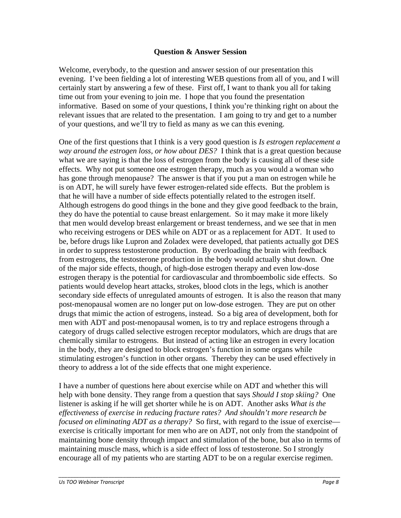## **Question & Answer Session**

Welcome, everybody, to the question and answer session of our presentation this evening. I've been fielding a lot of interesting WEB questions from all of you, and I will certainly start by answering a few of these. First off, I want to thank you all for taking time out from your evening to join me. I hope that you found the presentation informative. Based on some of your questions, I think you're thinking right on about the relevant issues that are related to the presentation. I am going to try and get to a number of your questions, and we'll try to field as many as we can this evening.

One of the first questions that I think is a very good question is *Is estrogen replacement a way around the estrogen loss, or how about DES?* I think that is a great question because what we are saying is that the loss of estrogen from the body is causing all of these side effects. Why not put someone one estrogen therapy, much as you would a woman who has gone through menopause? The answer is that if you put a man on estrogen while he is on ADT, he will surely have fewer estrogen-related side effects. But the problem is that he will have a number of side effects potentially related to the estrogen itself. Although estrogens do good things in the bone and they give good feedback to the brain, they do have the potential to cause breast enlargement. So it may make it more likely that men would develop breast enlargement or breast tenderness, and we see that in men who receiving estrogens or DES while on ADT or as a replacement for ADT. It used to be, before drugs like Lupron and Zoladex were developed, that patients actually got DES in order to suppress testosterone production. By overloading the brain with feedback from estrogens, the testosterone production in the body would actually shut down. One of the major side effects, though, of high-dose estrogen therapy and even low-dose estrogen therapy is the potential for cardiovascular and thromboembolic side effects. So patients would develop heart attacks, strokes, blood clots in the legs, which is another secondary side effects of unregulated amounts of estrogen. It is also the reason that many post-menopausal women are no longer put on low-dose estrogen. They are put on other drugs that mimic the action of estrogens, instead. So a big area of development, both for men with ADT and post-menopausal women, is to try and replace estrogens through a category of drugs called selective estrogen receptor modulators, which are drugs that are chemically similar to estrogens. But instead of acting like an estrogen in every location in the body, they are designed to block estrogen's function in some organs while stimulating estrogen's function in other organs. Thereby they can be used effectively in theory to address a lot of the side effects that one might experience.

I have a number of questions here about exercise while on ADT and whether this will help with bone density. They range from a question that says *Should I stop skiing?* One listener is asking if he will get shorter while he is on ADT. Another asks *What is the effectiveness of exercise in reducing fracture rates? And shouldn't more research be focused on eliminating ADT as a therapy?* So first, with regard to the issue of exercise exercise is critically important for men who are on ADT, not only from the standpoint of maintaining bone density through impact and stimulation of the bone, but also in terms of maintaining muscle mass, which is a side effect of loss of testosterone. So I strongly encourage all of my patients who are starting ADT to be on a regular exercise regimen.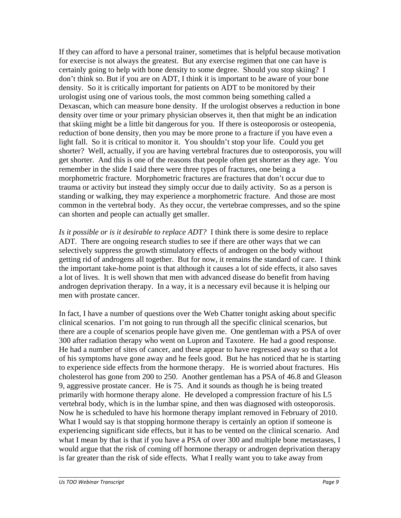If they can afford to have a personal trainer, sometimes that is helpful because motivation for exercise is not always the greatest. But any exercise regimen that one can have is certainly going to help with bone density to some degree. Should you stop skiing? I don't think so. But if you are on ADT, I think it is important to be aware of your bone density. So it is critically important for patients on ADT to be monitored by their urologist using one of various tools, the most common being something called a Dexascan, which can measure bone density. If the urologist observes a reduction in bone density over time or your primary physician observes it, then that might be an indication that skiing might be a little bit dangerous for you. If there is osteoporosis or osteopenia, reduction of bone density, then you may be more prone to a fracture if you have even a light fall. So it is critical to monitor it. You shouldn't stop your life. Could you get shorter? Well, actually, if you are having vertebral fractures due to osteoporosis, you will get shorter. And this is one of the reasons that people often get shorter as they age. You remember in the slide I said there were three types of fractures, one being a morphometric fracture. Morphometric fractures are fractures that don't occur due to trauma or activity but instead they simply occur due to daily activity. So as a person is standing or walking, they may experience a morphometric fracture. And those are most common in the vertebral body. As they occur, the vertebrae compresses, and so the spine can shorten and people can actually get smaller.

*Is it possible or is it desirable to replace ADT?* I think there is some desire to replace ADT. There are ongoing research studies to see if there are other ways that we can selectively suppress the growth stimulatory effects of androgen on the body without getting rid of androgens all together. But for now, it remains the standard of care. I think the important take-home point is that although it causes a lot of side effects, it also saves a lot of lives. It is well shown that men with advanced disease do benefit from having androgen deprivation therapy. In a way, it is a necessary evil because it is helping our men with prostate cancer.

In fact, I have a number of questions over the Web Chatter tonight asking about specific clinical scenarios. I'm not going to run through all the specific clinical scenarios, but there are a couple of scenarios people have given me. One gentleman with a PSA of over 300 after radiation therapy who went on Lupron and Taxotere. He had a good response. He had a number of sites of cancer, and these appear to have regressed away so that a lot of his symptoms have gone away and he feels good. But he has noticed that he is starting to experience side effects from the hormone therapy. He is worried about fractures. His cholesterol has gone from 200 to 250. Another gentleman has a PSA of 46.8 and Gleason 9, aggressive prostate cancer. He is 75. And it sounds as though he is being treated primarily with hormone therapy alone. He developed a compression fracture of his L5 vertebral body, which is in the lumbar spine, and then was diagnosed with osteoporosis. Now he is scheduled to have his hormone therapy implant removed in February of 2010. What I would say is that stopping hormone therapy is certainly an option if someone is experiencing significant side effects, but it has to be vented on the clinical scenario. And what I mean by that is that if you have a PSA of over 300 and multiple bone metastases, I would argue that the risk of coming off hormone therapy or androgen deprivation therapy is far greater than the risk of side effects. What I really want you to take away from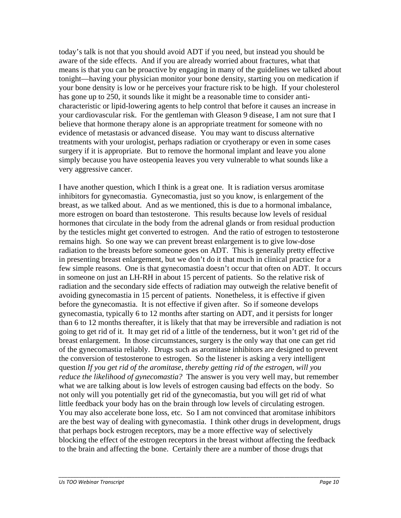today's talk is not that you should avoid ADT if you need, but instead you should be aware of the side effects. And if you are already worried about fractures, what that means is that you can be proactive by engaging in many of the guidelines we talked about tonight—having your physician monitor your bone density, starting you on medication if your bone density is low or he perceives your fracture risk to be high. If your cholesterol has gone up to 250, it sounds like it might be a reasonable time to consider anticharacteristic or lipid-lowering agents to help control that before it causes an increase in your cardiovascular risk. For the gentleman with Gleason 9 disease, I am not sure that I believe that hormone therapy alone is an appropriate treatment for someone with no evidence of metastasis or advanced disease. You may want to discuss alternative treatments with your urologist, perhaps radiation or cryotherapy or even in some cases surgery if it is appropriate. But to remove the hormonal implant and leave you alone simply because you have osteopenia leaves you very vulnerable to what sounds like a very aggressive cancer.

I have another question, which I think is a great one. It is radiation versus aromitase inhibitors for gynecomastia. Gynecomastia, just so you know, is enlargement of the breast, as we talked about. And as we mentioned, this is due to a hormonal imbalance, more estrogen on board than testosterone. This results because low levels of residual hormones that circulate in the body from the adrenal glands or from residual production by the testicles might get converted to estrogen. And the ratio of estrogen to testosterone remains high. So one way we can prevent breast enlargement is to give low-dose radiation to the breasts before someone goes on ADT. This is generally pretty effective in presenting breast enlargement, but we don't do it that much in clinical practice for a few simple reasons. One is that gynecomastia doesn't occur that often on ADT. It occurs in someone on just an LH-RH in about 15 percent of patients. So the relative risk of radiation and the secondary side effects of radiation may outweigh the relative benefit of avoiding gynecomastia in 15 percent of patients. Nonetheless, it is effective if given before the gynecomastia. It is not effective if given after. So if someone develops gynecomastia, typically 6 to 12 months after starting on ADT, and it persists for longer than 6 to 12 months thereafter, it is likely that that may be irreversible and radiation is not going to get rid of it. It may get rid of a little of the tenderness, but it won't get rid of the breast enlargement. In those circumstances, surgery is the only way that one can get rid of the gynecomastia reliably. Drugs such as aromitase inhibitors are designed to prevent the conversion of testosterone to estrogen. So the listener is asking a very intelligent question *If you get rid of the aromitase, thereby getting rid of the estrogen, will you reduce the likelihood of gynecomastia?* The answer is you very well may, but remember what we are talking about is low levels of estrogen causing bad effects on the body. So not only will you potentially get rid of the gynecomastia, but you will get rid of what little feedback your body has on the brain through low levels of circulating estrogen. You may also accelerate bone loss, etc. So I am not convinced that aromitase inhibitors are the best way of dealing with gynecomastia. I think other drugs in development, drugs that perhaps bock estrogen receptors, may be a more effective way of selectively blocking the effect of the estrogen receptors in the breast without affecting the feedback to the brain and affecting the bone. Certainly there are a number of those drugs that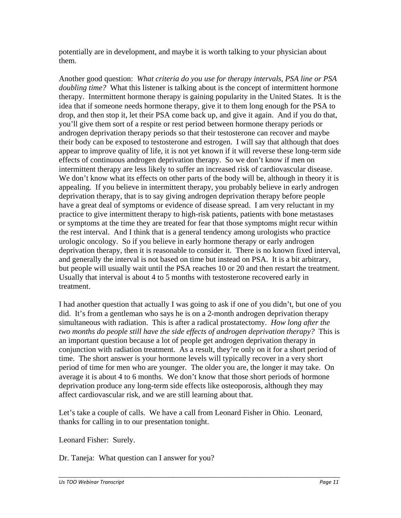potentially are in development, and maybe it is worth talking to your physician about them.

Another good question: *What criteria do you use for therapy intervals, PSA line or PSA doubling time?* What this listener is talking about is the concept of intermittent hormone therapy. Intermittent hormone therapy is gaining popularity in the United States. It is the idea that if someone needs hormone therapy, give it to them long enough for the PSA to drop, and then stop it, let their PSA come back up, and give it again. And if you do that, you'll give them sort of a respite or rest period between hormone therapy periods or androgen deprivation therapy periods so that their testosterone can recover and maybe their body can be exposed to testosterone and estrogen. I will say that although that does appear to improve quality of life, it is not yet known if it will reverse these long-term side effects of continuous androgen deprivation therapy. So we don't know if men on intermittent therapy are less likely to suffer an increased risk of cardiovascular disease. We don't know what its effects on other parts of the body will be, although in theory it is appealing. If you believe in intermittent therapy, you probably believe in early androgen deprivation therapy, that is to say giving androgen deprivation therapy before people have a great deal of symptoms or evidence of disease spread. I am very reluctant in my practice to give intermittent therapy to high-risk patients, patients with bone metastases or symptoms at the time they are treated for fear that those symptoms might recur within the rest interval. And I think that is a general tendency among urologists who practice urologic oncology. So if you believe in early hormone therapy or early androgen deprivation therapy, then it is reasonable to consider it. There is no known fixed interval, and generally the interval is not based on time but instead on PSA. It is a bit arbitrary, but people will usually wait until the PSA reaches 10 or 20 and then restart the treatment. Usually that interval is about 4 to 5 months with testosterone recovered early in treatment.

I had another question that actually I was going to ask if one of you didn't, but one of you did. It's from a gentleman who says he is on a 2-month androgen deprivation therapy simultaneous with radiation. This is after a radical prostatectomy. *How long after the two months do people still have the side effects of androgen deprivation therapy?* This is an important question because a lot of people get androgen deprivation therapy in conjunction with radiation treatment. As a result, they're only on it for a short period of time. The short answer is your hormone levels will typically recover in a very short period of time for men who are younger. The older you are, the longer it may take. On average it is about 4 to 6 months. We don't know that those short periods of hormone deprivation produce any long-term side effects like osteoporosis, although they may affect cardiovascular risk, and we are still learning about that.

Let's take a couple of calls. We have a call from Leonard Fisher in Ohio. Leonard, thanks for calling in to our presentation tonight.

Leonard Fisher: Surely.

Dr. Taneja: What question can I answer for you?